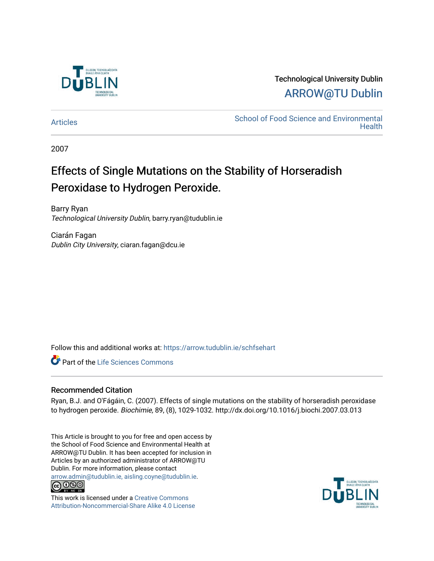

Technological University Dublin [ARROW@TU Dublin](https://arrow.tudublin.ie/) 

[Articles](https://arrow.tudublin.ie/schfsehart) **School of Food Science and Environmental Health** 

2007

# Effects of Single Mutations on the Stability of Horseradish Peroxidase to Hydrogen Peroxide.

Barry Ryan Technological University Dublin, barry.ryan@tudublin.ie

Ciarán Fagan Dublin City University, ciaran.fagan@dcu.ie

Follow this and additional works at: [https://arrow.tudublin.ie/schfsehart](https://arrow.tudublin.ie/schfsehart?utm_source=arrow.tudublin.ie%2Fschfsehart%2F171&utm_medium=PDF&utm_campaign=PDFCoverPages) 

**Part of the Life Sciences Commons** 

# Recommended Citation

Ryan, B.J. and O'Fágáin, C. (2007). Effects of single mutations on the stability of horseradish peroxidase to hydrogen peroxide. Biochimie, 89, (8), 1029-1032. http://dx.doi.org/10.1016/j.biochi.2007.03.013

This Article is brought to you for free and open access by the School of Food Science and Environmental Health at ARROW@TU Dublin. It has been accepted for inclusion in Articles by an authorized administrator of ARROW@TU Dublin. For more information, please contact [arrow.admin@tudublin.ie, aisling.coyne@tudublin.ie](mailto:arrow.admin@tudublin.ie,%20aisling.coyne@tudublin.ie).<br>
co 000



This work is licensed under a [Creative Commons](http://creativecommons.org/licenses/by-nc-sa/4.0/) [Attribution-Noncommercial-Share Alike 4.0 License](http://creativecommons.org/licenses/by-nc-sa/4.0/)

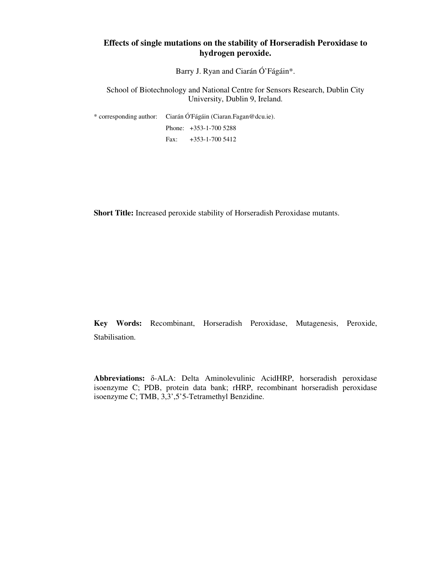# **Effects of single mutations on the stability of Horseradish Peroxidase to hydrogen peroxide.**

Barry J. Ryan and Ciarán Ó'Fágáin\*.

School of Biotechnology and National Centre for Sensors Research, Dublin City University, Dublin 9, Ireland.

\* corresponding author: Ciarán Ó'Fágáin (Ciaran.Fagan@dcu.ie). Phone: +353-1-700 5288 Fax: +353-1-700 5412

**Short Title:** Increased peroxide stability of Horseradish Peroxidase mutants.

**Key Words:** Recombinant, Horseradish Peroxidase, Mutagenesis, Peroxide, Stabilisation.

**Abbreviations:** δ-ALA: Delta Aminolevulinic AcidHRP, horseradish peroxidase isoenzyme C; PDB, protein data bank; rHRP, recombinant horseradish peroxidase isoenzyme C; TMB, 3,3',5'5-Tetramethyl Benzidine.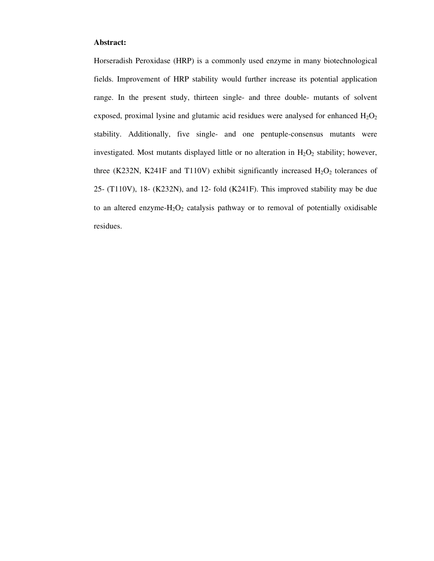## **Abstract:**

Horseradish Peroxidase (HRP) is a commonly used enzyme in many biotechnological fields. Improvement of HRP stability would further increase its potential application range. In the present study, thirteen single- and three double- mutants of solvent exposed, proximal lysine and glutamic acid residues were analysed for enhanced  $H_2O_2$ stability. Additionally, five single- and one pentuple-consensus mutants were investigated. Most mutants displayed little or no alteration in  $H_2O_2$  stability; however, three (K232N, K241F and T110V) exhibit significantly increased  $H_2O_2$  tolerances of 25- (T110V), 18- (K232N), and 12- fold (K241F). This improved stability may be due to an altered enzyme- $H_2O_2$  catalysis pathway or to removal of potentially oxidisable residues.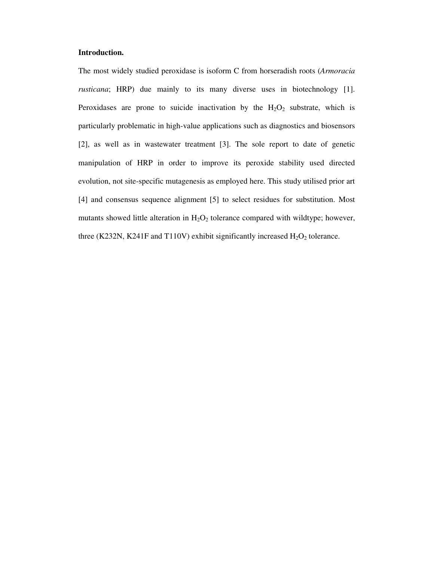## **Introduction.**

The most widely studied peroxidase is isoform C from horseradish roots (*Armoracia rusticana*; HRP) due mainly to its many diverse uses in biotechnology [1]. Peroxidases are prone to suicide inactivation by the  $H_2O_2$  substrate, which is particularly problematic in high-value applications such as diagnostics and biosensors [2], as well as in wastewater treatment [3]. The sole report to date of genetic manipulation of HRP in order to improve its peroxide stability used directed evolution, not site-specific mutagenesis as employed here. This study utilised prior art [4] and consensus sequence alignment [5] to select residues for substitution. Most mutants showed little alteration in  $H_2O_2$  tolerance compared with wildtype; however, three (K232N, K241F and T110V) exhibit significantly increased  $H_2O_2$  tolerance.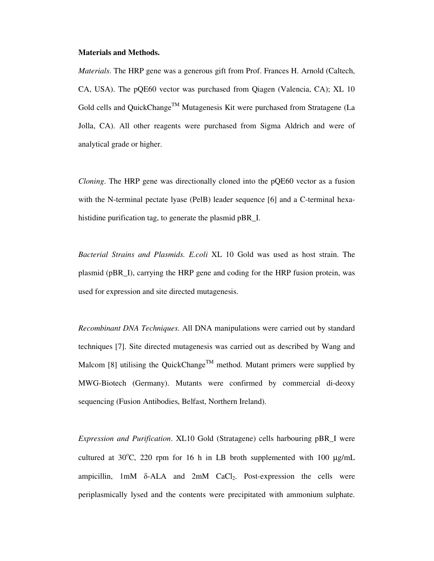### **Materials and Methods.**

*Materials*. The HRP gene was a generous gift from Prof. Frances H. Arnold (Caltech, CA, USA). The pQE60 vector was purchased from Qiagen (Valencia, CA); XL 10 Gold cells and QuickChange<sup>TM</sup> Mutagenesis Kit were purchased from Stratagene (La Jolla, CA). All other reagents were purchased from Sigma Aldrich and were of analytical grade or higher.

*Cloning*. The HRP gene was directionally cloned into the pQE60 vector as a fusion with the N-terminal pectate lyase (PelB) leader sequence [6] and a C-terminal hexahistidine purification tag, to generate the plasmid pBR\_I.

*Bacterial Strains and Plasmids. E.coli* XL 10 Gold was used as host strain. The plasmid (pBR\_I), carrying the HRP gene and coding for the HRP fusion protein, was used for expression and site directed mutagenesis.

*Recombinant DNA Techniques*. All DNA manipulations were carried out by standard techniques [7]. Site directed mutagenesis was carried out as described by Wang and Malcom [8] utilising the QuickChange<sup>TM</sup> method. Mutant primers were supplied by MWG-Biotech (Germany). Mutants were confirmed by commercial di-deoxy sequencing (Fusion Antibodies, Belfast, Northern Ireland).

*Expression and Purification*. XL10 Gold (Stratagene) cells harbouring pBR\_I were cultured at  $30^{\circ}$ C, 220 rpm for 16 h in LB broth supplemented with 100  $\mu$ g/mL ampicillin,  $1mM$  δ-ALA and  $2mM$  CaCl<sub>2</sub>. Post-expression the cells were periplasmically lysed and the contents were precipitated with ammonium sulphate.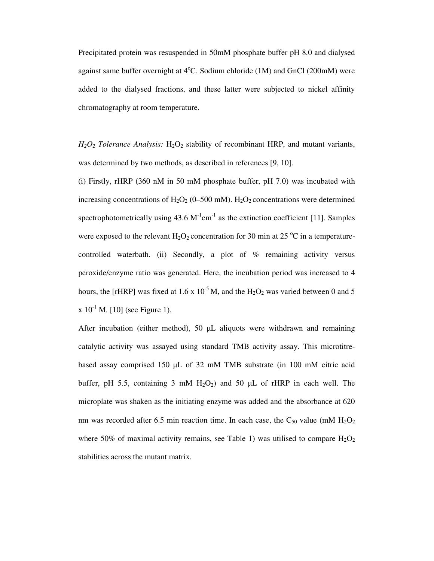Precipitated protein was resuspended in 50mM phosphate buffer pH 8.0 and dialysed against same buffer overnight at  $4^{\circ}$ C. Sodium chloride (1M) and GnCl (200mM) were added to the dialysed fractions, and these latter were subjected to nickel affinity chromatography at room temperature.

 $H_2O_2$  *Tolerance Analysis:*  $H_2O_2$  stability of recombinant HRP, and mutant variants, was determined by two methods, as described in references [9, 10].

(i) Firstly, rHRP (360 nM in 50 mM phosphate buffer, pH 7.0) was incubated with increasing concentrations of  $H_2O_2$  (0–500 mM).  $H_2O_2$  concentrations were determined spectrophotometrically using  $43.6 \text{ M}^{-1} \text{cm}^{-1}$  as the extinction coefficient [11]. Samples were exposed to the relevant  $H_2O_2$  concentration for 30 min at 25 °C in a temperaturecontrolled waterbath. (ii) Secondly, a plot of  $%$  remaining activity versus peroxide/enzyme ratio was generated. Here, the incubation period was increased to 4 hours, the [rHRP] was fixed at 1.6 x  $10^{-5}$  M, and the H<sub>2</sub>O<sub>2</sub> was varied between 0 and 5  $x 10^{-1}$  M. [10] (see Figure 1).

After incubation (either method), 50  $\mu$ L aliquots were withdrawn and remaining catalytic activity was assayed using standard TMB activity assay. This microtitrebased assay comprised 150 µL of 32 mM TMB substrate (in 100 mM citric acid buffer, pH 5.5, containing 3 mM  $H_2O_2$  and 50  $\mu$ L of rHRP in each well. The microplate was shaken as the initiating enzyme was added and the absorbance at 620 nm was recorded after 6.5 min reaction time. In each case, the  $C_{50}$  value (mM  $H_2O_2$ ) where 50% of maximal activity remains, see Table 1) was utilised to compare  $H_2O_2$ stabilities across the mutant matrix.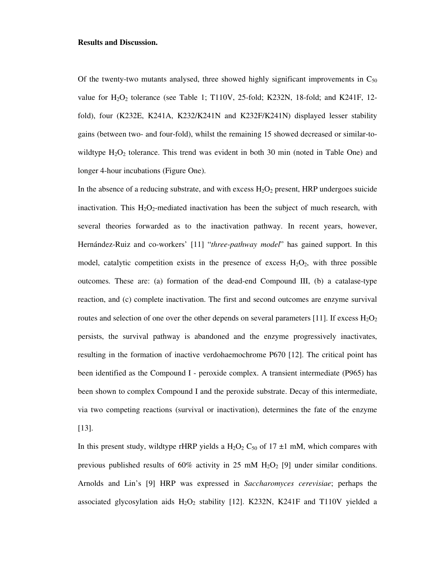### **Results and Discussion.**

Of the twenty-two mutants analysed, three showed highly significant improvements in  $C_{50}$ value for  $H_2O_2$  tolerance (see Table 1; T110V, 25-fold; K232N, 18-fold; and K241F, 12fold), four (K232E, K241A, K232/K241N and K232F/K241N) displayed lesser stability gains (between two- and four-fold), whilst the remaining 15 showed decreased or similar-towildtype  $H_2O_2$  tolerance. This trend was evident in both 30 min (noted in Table One) and longer 4-hour incubations (Figure One).

In the absence of a reducing substrate, and with excess  $H_2O_2$  present, HRP undergoes suicide inactivation. This  $H_2O_2$ -mediated inactivation has been the subject of much research, with several theories forwarded as to the inactivation pathway. In recent years, however, Hernández-Ruiz and co-workers' [11] "*three-pathway model*" has gained support. In this model, catalytic competition exists in the presence of excess  $H_2O_2$ , with three possible outcomes. These are: (a) formation of the dead-end Compound III, (b) a catalase-type reaction, and (c) complete inactivation. The first and second outcomes are enzyme survival routes and selection of one over the other depends on several parameters [11]. If excess  $H_2O_2$ persists, the survival pathway is abandoned and the enzyme progressively inactivates, resulting in the formation of inactive verdohaemochrome P670 [12]. The critical point has been identified as the Compound I - peroxide complex. A transient intermediate (P965) has been shown to complex Compound I and the peroxide substrate. Decay of this intermediate, via two competing reactions (survival or inactivation), determines the fate of the enzyme [13].

In this present study, wildtype rHRP yields a H<sub>2</sub>O<sub>2</sub> C<sub>50</sub> of 17  $\pm$ 1 mM, which compares with previous published results of  $60\%$  activity in 25 mM H<sub>2</sub>O<sub>2</sub> [9] under similar conditions. Arnolds and Lin's [9] HRP was expressed in *Saccharomyces cerevisiae*; perhaps the associated glycosylation aids  $H_2O_2$  stability [12]. K232N, K241F and T110V yielded a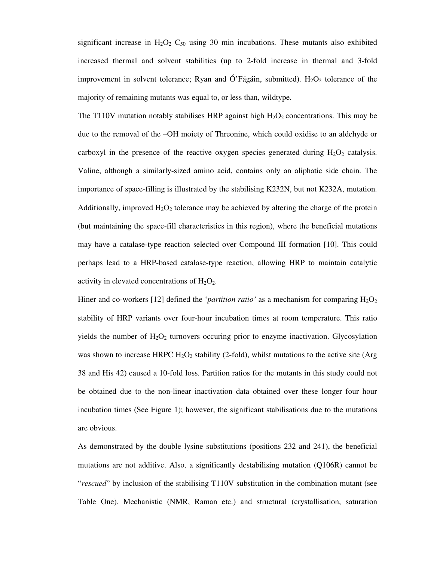significant increase in  $H_2O_2$   $C_{50}$  using 30 min incubations. These mutants also exhibited increased thermal and solvent stabilities (up to 2-fold increase in thermal and 3-fold improvement in solvent tolerance; Ryan and Ó'Fágáin, submitted).  $H_2O_2$  tolerance of the majority of remaining mutants was equal to, or less than, wildtype.

The T110V mutation notably stabilises HRP against high  $H_2O_2$  concentrations. This may be due to the removal of the –OH moiety of Threonine, which could oxidise to an aldehyde or carboxyl in the presence of the reactive oxygen species generated during  $H_2O_2$  catalysis. Valine, although a similarly-sized amino acid, contains only an aliphatic side chain. The importance of space-filling is illustrated by the stabilising K232N, but not K232A, mutation. Additionally, improved  $H_2O_2$  tolerance may be achieved by altering the charge of the protein (but maintaining the space-fill characteristics in this region), where the beneficial mutations may have a catalase-type reaction selected over Compound III formation [10]. This could perhaps lead to a HRP-based catalase-type reaction, allowing HRP to maintain catalytic activity in elevated concentrations of  $H_2O_2$ .

Hiner and co-workers [12] defined the '*partition ratio*' as a mechanism for comparing  $H_2O_2$ stability of HRP variants over four-hour incubation times at room temperature. This ratio yields the number of  $H_2O_2$  turnovers occuring prior to enzyme inactivation. Glycosylation was shown to increase HRPC  $H_2O_2$  stability (2-fold), whilst mutations to the active site (Arg 38 and His 42) caused a 10-fold loss. Partition ratios for the mutants in this study could not be obtained due to the non-linear inactivation data obtained over these longer four hour incubation times (See Figure 1); however, the significant stabilisations due to the mutations are obvious.

As demonstrated by the double lysine substitutions (positions 232 and 241), the beneficial mutations are not additive. Also, a significantly destabilising mutation (Q106R) cannot be "*rescued*" by inclusion of the stabilising T110V substitution in the combination mutant (see Table One). Mechanistic (NMR, Raman etc.) and structural (crystallisation, saturation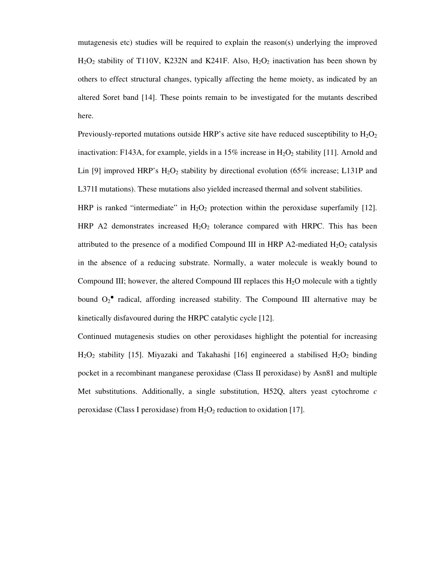mutagenesis etc) studies will be required to explain the reason(s) underlying the improved  $H_2O_2$  stability of T110V, K232N and K241F. Also,  $H_2O_2$  inactivation has been shown by others to effect structural changes, typically affecting the heme moiety, as indicated by an altered Soret band [14]. These points remain to be investigated for the mutants described here.

Previously-reported mutations outside HRP's active site have reduced susceptibility to  $H_2O_2$ inactivation: F143A, for example, yields in a 15% increase in  $H_2O_2$  stability [11]. Arnold and Lin [9] improved HRP's  $H_2O_2$  stability by directional evolution (65% increase; L131P and L371I mutations). These mutations also yielded increased thermal and solvent stabilities.

HRP is ranked "intermediate" in  $H_2O_2$  protection within the peroxidase superfamily [12]. HRP A2 demonstrates increased  $H_2O_2$  tolerance compared with HRPC. This has been attributed to the presence of a modified Compound III in HRP A2-mediated  $H_2O_2$  catalysis in the absence of a reducing substrate. Normally, a water molecule is weakly bound to Compound III; however, the altered Compound III replaces this  $H_2O$  molecule with a tightly bound  $O_2$ <sup>•</sup> radical, affording increased stability. The Compound III alternative may be kinetically disfavoured during the HRPC catalytic cycle [12].

Continued mutagenesis studies on other peroxidases highlight the potential for increasing  $H<sub>2</sub>O<sub>2</sub>$  stability [15]. Miyazaki and Takahashi [16] engineered a stabilised  $H<sub>2</sub>O<sub>2</sub>$  binding pocket in a recombinant manganese peroxidase (Class II peroxidase) by Asn81 and multiple Met substitutions. Additionally, a single substitution, H52Q, alters yeast cytochrome *c* peroxidase (Class I peroxidase) from  $H_2O_2$  reduction to oxidation [17].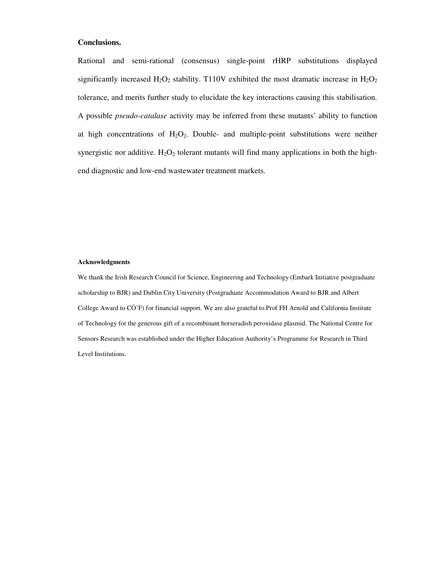## **Conclusions.**

Rational and semi-rational (consensus) single-point rHRP substitutions displayed significantly increased  $H_2O_2$  stability. T110V exhibited the most dramatic increase in  $H_2O_2$ tolerance, and merits further study to elucidate the key interactions causing this stabilisation. A possible *pseudo-catalase* activity may be inferred from these mutants' ability to function at high concentrations of  $H_2O_2$ . Double- and multiple-point substitutions were neither synergistic nor additive.  $H_2O_2$  tolerant mutants will find many applications in both the highend diagnostic and low-end wastewater treatment markets.

#### **Acknowledgments**

We thank the Irish Research Council for Science, Engineering and Technology (Embark Initiative postgraduate scholarship to BJR) and Dublin City University (Postgraduate Accommodation Award to BJR and Albert College Award to CÓ'F) for financial support. We are also grateful to Prof FH Arnold and California Institute of Technology for the generous gift of a recombinant horseradish peroxidase plasmid. The National Centre for Sensors Research was established under the Higher Education Authority's Programme for Research in Third Level Institutions.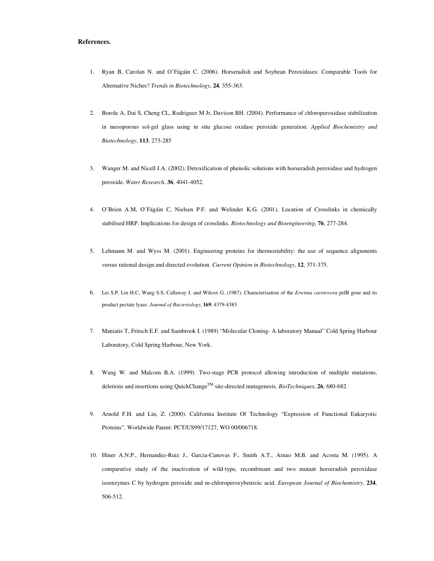#### **References.**

- 1. Ryan B, Carolan N. and O'Fágáin C. (2006). Horseradish and Soybean Peroxidases: Comparable Tools for Alternative Niches? *Trends in Biotechnology*, **24**, 355-363.
- 2. Borole A, Dai S, Cheng CL, Rodriguez M Jr, Davison BH. (2004). Performance of chloroperoxidase stabilization in mesoporous sol-gel glass using in situ glucose oxidase peroxide generation. *Applied Biochemistry and Biotechnology*, **113**, 273-285
- 3. Wanger M. and Nicell J.A. (2002). Detoxification of phenolic solutions with horseradish peroxidase and hydrogen peroxide. *Water Research*, **36**, 4041-4052.
- 4. O'Brien A.M, O'Fágáin C, Nielsen P.F. and Welinder K.G. (2001), Location of Crosslinks in chemically stabilised HRP. Implications for design of crosslinks. *Biotechnology and Bioengineering*, **76**, 277-284.
- 5. Lehmann M. and Wyss M. (2001). Engineering proteins for thermostability: the use of sequence alignments versus rational design and directed evolution. *Current Opinion in Biotechnology*, **12**, 371-375.
- 6. Lei S.P, Lin H.C, Wang S.S, Callaway J. and Wilcox G. (1987). Characterisation of the *Erwinia carotovora* pelB gene and its product pectate lyase. *Journal of Bacteriology*, **169**, 4379-4383
- 7. Maniatis T, Fritsch E.F. and Sambrook I. (1989) "Molecular Cloning- A laboratory Manual" Cold Spring Harbour Laboratory, Cold Spring Harbour, New York.
- 8. Wang W. and Malcom B.A. (1999). Two-stage PCR protocol allowing introduction of multiple mutations, deletions and insertions using QuickChange<sup>TM</sup> site-directed mutagenesis. *BioTechniques*, 26, 680-682.
- 9. Arnold F.H. and Lin, Z. (2000). California Institute Of Technology "Expression of Functional Eukaryotic Proteins". Worldwide Patent: PCT/US99/17127, WO 00/006718.
- 10. Hiner A.N.P., Hernandez-Ruiz J., Garcia-Canovas F., Smith A.T., Arnao M.B. and Acosta M. (1995). A comparative study of the inactivation of wild-type, recombinant and two mutant horseradish peroxidase isoenzymes C by hydrogen peroxide and m-chloroperoxybenzoic acid. *European Journal of Biochemistry,* **234**, 506-512.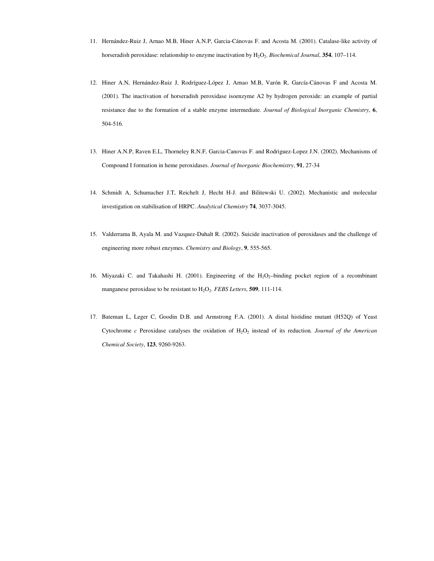- 11. Hernández-Ruiz J, Arnao M.B, Hiner A.N.P, Garcia-Cánovas F. and Acosta M. (2001). Catalase-like activity of horseradish peroxidase: relationship to enzyme inactivation by  $H_2O_2$ . *Biochemical Journal*, **354**, 107–114.
- 12. Hiner A.N, Hernández-Ruiz J, Rodríguez-López J, Arnao M.B, Varón R, García-Cánovas F and Acosta M. (2001). The inactivation of horseradish peroxidase isoenzyme A2 by hydrogen peroxide: an example of partial resistance due to the formation of a stable enzyme intermediate. *Journal of Biological Inorganic Chemistry*, **6**, 504-516.
- 13. Hiner A.N.P, Raven E.L, Thorneley R.N.F, Garcia-Canovas F. and Rodriguez-Lopez J.N. (2002). Mechanisms of Compound I formation in heme peroxidases. *Journal of Inorganic Biochemistry*, **91**, 27-34
- 14. Schmidt A, Schumacher J.T, Reichelt J, Hecht H-J. and Bilitewski U. (2002). Mechanistic and molecular investigation on stabilisation of HRPC. *Analytical Chemistry* **74**, 3037-3045.
- 15. Valderrama B, Ayala M. and Vazquez-Duhalt R. (2002). Suicide inactivation of peroxidases and the challenge of engineering more robust enzymes. *Chemistry and Biology*, **9**, 555-565.
- 16. Miyazaki C. and Takahashi H. (2001). Engineering of the  $H_2O_2$ -binding pocket region of a recombinant manganese peroxidase to be resistant to  $H_2O_2$ . *FEBS Letters*, **509**, 111-114.
- 17. Bateman L, Leger C, Goodin D.B. and Armstrong F.A. (2001). A distal histidine mutant (H52Q) of Yeast Cytochrome  $c$  Peroxidase catalyses the oxidation of  $H_2O_2$  instead of its reduction. *Journal of the American Chemical Society*, **123**, 9260-9263.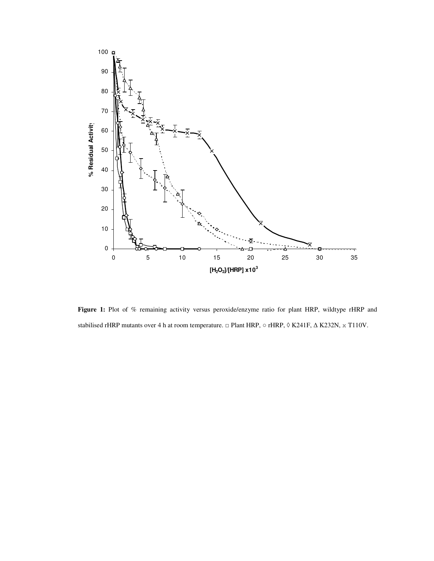

Figure 1: Plot of % remaining activity versus peroxide/enzyme ratio for plant HRP, wildtype rHRP and stabilised rHRP mutants over 4 h at room temperature. □ Plant HRP,  $\circ$  rHRP,  $\circ$  K241F,  $\Delta$  K232N,  $\times$  T110V.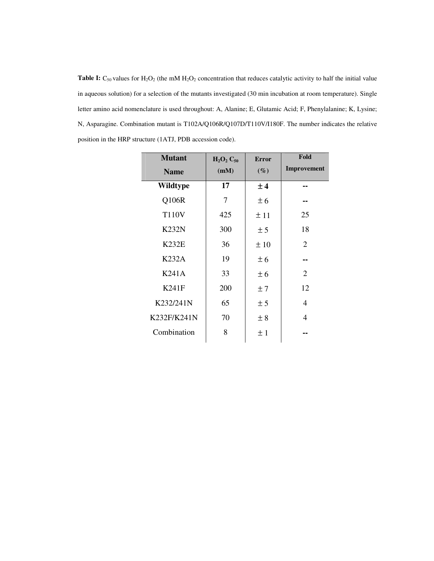**Table I:**  $C_{50}$  values for  $H_2O_2$  (the mM  $H_2O_2$  concentration that reduces catalytic activity to half the initial value in aqueous solution) for a selection of the mutants investigated (30 min incubation at room temperature). Single letter amino acid nomenclature is used throughout: A, Alanine; E, Glutamic Acid; F, Phenylalanine; K, Lysine; N, Asparagine. Combination mutant is T102A/Q106R/Q107D/T110V/I180F. The number indicates the relative position in the HRP structure (1ATJ, PDB accession code).

| <b>Mutant</b> | $H_2O_2C_{50}$ | <b>Error</b> | Fold           |
|---------------|----------------|--------------|----------------|
| <b>Name</b>   | (mM)           | $(\%)$       | Improvement    |
| Wildtype      | 17             | ±4           |                |
| Q106R         | 7              | ± 6          |                |
| <b>T110V</b>  | 425            | ±11          | 25             |
| <b>K232N</b>  | 300            | ± 5          | 18             |
| <b>K232E</b>  | 36             | ±10          | $\overline{2}$ |
| <b>K232A</b>  | 19             | ± 6          |                |
| <b>K241A</b>  | 33             | ± 6          | $\overline{2}$ |
| K241F         | 200            | ±7           | 12             |
| K232/241N     | 65             | ± 5          | 4              |
| K232F/K241N   | 70             | ± 8          | 4              |
| Combination   | 8              | ±1           |                |